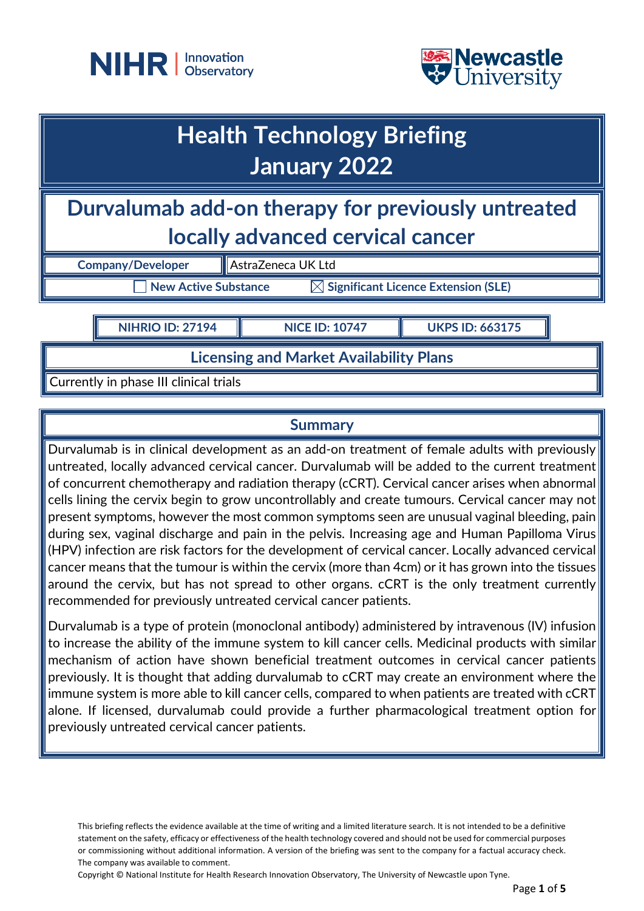



# **Health Technology Briefing January 2022**

**Durvalumab add-on therapy for previously untreated locally advanced cervical cancer**

**Company/Developer AstraZeneca UK Ltd** 

 $\overline{\phantom{a}}$  New Active Substance  $\overline{\phantom{a}}$   $\overline{\phantom{a}}$  Significant Licence Extension (SLE)

**NIHRIO ID: 27194 NICE ID: 10747 UKPS ID: 663175**

**Licensing and Market Availability Plans**

Currently in phase III clinical trials

# **Summary**

Durvalumab is in clinical development as an add-on treatment of female adults with previously untreated, locally advanced cervical cancer. Durvalumab will be added to the current treatment of concurrent chemotherapy and radiation therapy (cCRT). Cervical cancer arises when abnormal cells lining the cervix begin to grow uncontrollably and create tumours. Cervical cancer may not present symptoms, however the most common symptoms seen are unusual vaginal bleeding, pain during sex, vaginal discharge and pain in the pelvis. Increasing age and Human Papilloma Virus (HPV) infection are risk factors for the development of cervical cancer. Locally advanced cervical cancer means that the tumour is within the cervix (more than 4cm) or it has grown into the tissues around the cervix, but has not spread to other organs. cCRT is the only treatment currently recommended for previously untreated cervical cancer patients.

Durvalumab is a type of protein (monoclonal antibody) administered by intravenous (IV) infusion to increase the ability of the immune system to kill cancer cells. Medicinal products with similar mechanism of action have shown beneficial treatment outcomes in cervical cancer patients previously. It is thought that adding durvalumab to cCRT may create an environment where the immune system is more able to kill cancer cells, compared to when patients are treated with cCRT alone. If licensed, durvalumab could provide a further pharmacological treatment option for previously untreated cervical cancer patients.

Copyright © National Institute for Health Research Innovation Observatory, The University of Newcastle upon Tyne.

This briefing reflects the evidence available at the time of writing and a limited literature search. It is not intended to be a definitive statement on the safety, efficacy or effectiveness of the health technology covered and should not be used for commercial purposes or commissioning without additional information. A version of the briefing was sent to the company for a factual accuracy check. The company was available to comment.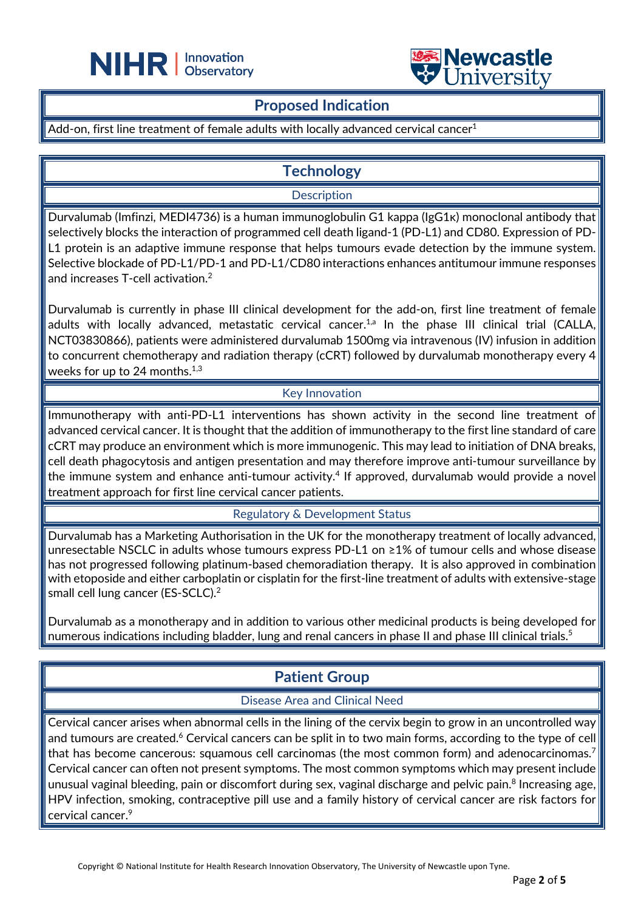



## **Proposed Indication**

Add-on, first line treatment of female adults with locally advanced cervical cancer<sup>1</sup>

L

# **Technology**

**Description** 

Durvalumab (Imfinzi, MEDI4736) is a human immunoglobulin G1 kappa (IgG1κ) monoclonal antibody that selectively blocks the interaction of programmed cell death ligand-1 (PD-L1) and CD80. Expression of PD-L1 protein is an adaptive immune response that helps tumours evade detection by the immune system. Selective blockade of PD-L1/PD-1 and PD-L1/CD80 interactions enhances antitumour immune responses and increases T-cell activation.2

Durvalumab is currently in phase III clinical development for the add-on, first line treatment of female adults with locally advanced, metastatic cervical cancer.<sup>1,a</sup> In the phase III clinical trial (CALLA, NCT03830866), patients were administered durvalumab 1500mg via intravenous (IV) infusion in addition to concurrent chemotherapy and radiation therapy (cCRT) followed by durvalumab monotherapy every 4 weeks for up to 24 months. $^{\rm 1,3}$ 

#### Key Innovation

Immunotherapy with anti-PD-L1 interventions has shown activity in the second line treatment of advanced cervical cancer. It is thought that the addition of immunotherapy to the first line standard of care cCRT may produce an environment which is more immunogenic. This may lead to initiation of DNA breaks, cell death phagocytosis and antigen presentation and may therefore improve anti-tumour surveillance by the immune system and enhance anti-tumour activity.<sup>4</sup> If approved, durvalumab would provide a novel treatment approach for first line cervical cancer patients.

Regulatory & Development Status

Durvalumab has a Marketing Authorisation in the UK for the monotherapy treatment of locally advanced, unresectable NSCLC in adults whose tumours express PD-L1 on ≥1% of tumour cells and whose disease has not progressed following platinum-based chemoradiation therapy. It is also approved in combination with etoposide and either carboplatin or cisplatin for the first-line treatment of adults with extensive-stage small cell lung cancer (ES-SCLC).<sup>2</sup>

Durvalumab as a monotherapy and in addition to various other medicinal products is being developed for numerous indications including bladder, lung and renal cancers in phase II and phase III clinical trials.<sup>5</sup>

# **Patient Group**

#### Disease Area and Clinical Need

Cervical cancer arises when abnormal cells in the lining of the cervix begin to grow in an uncontrolled way and tumours are created.<sup>6</sup> Cervical cancers can be split in to two main forms, according to the type of cell that has become cancerous: squamous cell carcinomas (the most common form) and adenocarcinomas.<sup>7</sup> Cervical cancer can often not present symptoms. The most common symptoms which may present include unusual vaginal bleeding, pain or discomfort during sex, vaginal discharge and pelvic pain.<sup>8</sup> Increasing age, HPV infection, smoking, contraceptive pill use and a family history of cervical cancer are risk factors for cervical cancer.<sup>9</sup>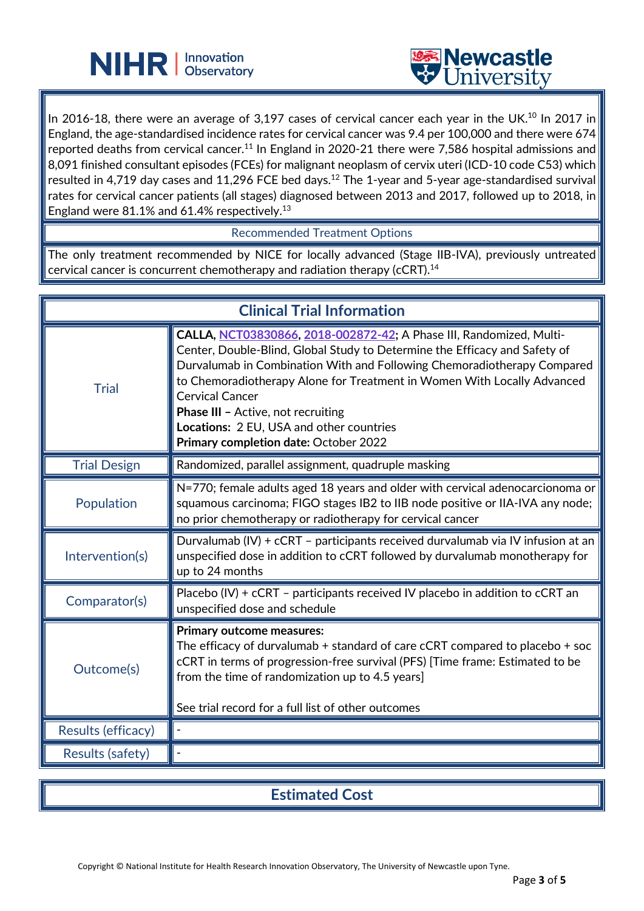



In 2016-18, there were an average of 3,197 cases of cervical cancer each year in the UK.<sup>10</sup> In 2017 in England, the age-standardised incidence rates for cervical cancer was 9.4 per 100,000 and there were 674 reported deaths from cervical cancer.<sup>11</sup> In England in 2020-21 there were 7,586 hospital admissions and 8,091 finished consultant episodes (FCEs) for malignant neoplasm of cervix uteri (ICD-10 code C53) which resulted in 4,719 day cases and 11,296 FCE bed days. $^{12}$  The 1-year and 5-year age-standardised survival rates for cervical cancer patients (all stages) diagnosed between 2013 and 2017, followed up to 2018, in England were  $81.1\%$  and 61.4% respectively. $^{13}$ 

L

Recommended Treatment Options

The only treatment recommended by NICE for locally advanced (Stage IIB-IVA), previously untreated cervical cancer is concurrent chemotherapy and radiation therapy (cCRT). $^\mathrm{14}$ 

| <b>Clinical Trial Information</b> |                                                                                                                                                                                                                                                                                                                                                                                                                                                                     |
|-----------------------------------|---------------------------------------------------------------------------------------------------------------------------------------------------------------------------------------------------------------------------------------------------------------------------------------------------------------------------------------------------------------------------------------------------------------------------------------------------------------------|
| <b>Trial</b>                      | CALLA, NCT03830866, 2018-002872-42; A Phase III, Randomized, Multi-<br>Center, Double-Blind, Global Study to Determine the Efficacy and Safety of<br>Durvalumab in Combination With and Following Chemoradiotherapy Compared<br>to Chemoradiotherapy Alone for Treatment in Women With Locally Advanced<br><b>Cervical Cancer</b><br><b>Phase III - Active, not recruiting</b><br>Locations: 2 EU, USA and other countries<br>Primary completion date: October 2022 |
| <b>Trial Design</b>               | Randomized, parallel assignment, quadruple masking                                                                                                                                                                                                                                                                                                                                                                                                                  |
| Population                        | N=770; female adults aged 18 years and older with cervical adenocarcionoma or<br>squamous carcinoma; FIGO stages IB2 to IIB node positive or IIA-IVA any node;<br>no prior chemotherapy or radiotherapy for cervical cancer                                                                                                                                                                                                                                         |
| Intervention(s)                   | Durvalumab (IV) + cCRT - participants received durvalumab via IV infusion at an<br>unspecified dose in addition to cCRT followed by durvalumab monotherapy for<br>up to 24 months                                                                                                                                                                                                                                                                                   |
| Comparator(s)                     | Placebo (IV) + cCRT - participants received IV placebo in addition to cCRT an<br>unspecified dose and schedule                                                                                                                                                                                                                                                                                                                                                      |
| Outcome(s)                        | <b>Primary outcome measures:</b><br>The efficacy of durvalumab + standard of care cCRT compared to placebo + soc<br>cCRT in terms of progression-free survival (PFS) [Time frame: Estimated to be<br>from the time of randomization up to 4.5 years]<br>See trial record for a full list of other outcomes                                                                                                                                                          |
| Results (efficacy)                |                                                                                                                                                                                                                                                                                                                                                                                                                                                                     |
| Results (safety)                  |                                                                                                                                                                                                                                                                                                                                                                                                                                                                     |

**Estimated Cost**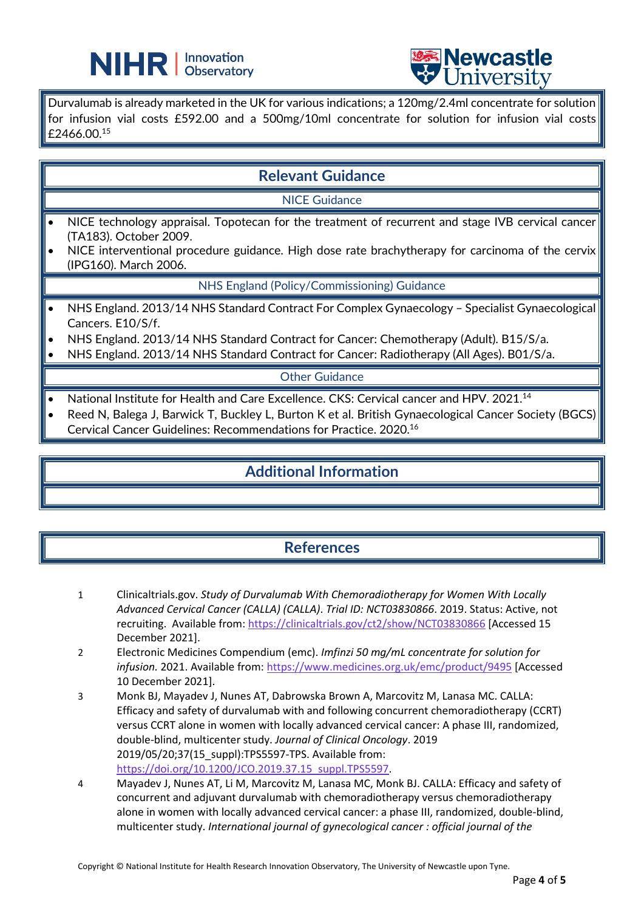



Durvalumab is already marketed in the UK for various indications; a 120mg/2.4ml concentrate for solution for infusion vial costs £592.00 and a 500mg/10ml concentrate for solution for infusion vial costs £2466.00.15

L

## **Relevant Guidance**

#### NICE Guidance

- NICE technology appraisal. Topotecan for the treatment of recurrent and stage IVB cervical cancer (TA183). October 2009.
- NICE interventional procedure guidance. High dose rate brachytherapy for carcinoma of the cervix (IPG160). March 2006.

NHS England (Policy/Commissioning) Guidance

- NHS England. 2013/14 NHS Standard Contract For Complex Gynaecology Specialist Gynaecological Cancers. E10/S/f.
- NHS England. 2013/14 NHS Standard Contract for Cancer: Chemotherapy (Adult). B15/S/a.
- NHS England. 2013/14 NHS Standard Contract for Cancer: Radiotherapy (All Ages). B01/S/a.

#### Other Guidance

- National Institute for Health and Care Excellence. CKS: Cervical cancer and HPV. 2021.<sup>14</sup>
- Reed N, Balega J, Barwick T, Buckley L, Burton K et al. British Gynaecological Cancer Society (BGCS) Cervical Cancer Guidelines: Recommendations for Practice. 2020.16

# **Additional Information**

# **References**

- 1 Clinicaltrials.gov. *Study of Durvalumab With Chemoradiotherapy for Women With Locally Advanced Cervical Cancer (CALLA) (CALLA)*. *Trial ID: NCT03830866*. 2019. Status: Active, not recruiting. Available from:<https://clinicaltrials.gov/ct2/show/NCT03830866> [Accessed 15 December 2021].
- 2 Electronic Medicines Compendium (emc). *Imfinzi 50 mg/mL concentrate for solution for infusion.* 2021. Available from[: https://www.medicines.org.uk/emc/product/9495](https://www.medicines.org.uk/emc/product/9495) [Accessed 10 December 2021].
- 3 Monk BJ, Mayadev J, Nunes AT, Dabrowska Brown A, Marcovitz M, Lanasa MC. CALLA: Efficacy and safety of durvalumab with and following concurrent chemoradiotherapy (CCRT) versus CCRT alone in women with locally advanced cervical cancer: A phase III, randomized, double-blind, multicenter study. *Journal of Clinical Oncology*. 2019 2019/05/20;37(15\_suppl):TPS5597-TPS. Available from: [https://doi.org/10.1200/JCO.2019.37.15\\_suppl.TPS5597.](https://doi.org/10.1200/JCO.2019.37.15_suppl.TPS5597)
- 4 Mayadev J, Nunes AT, Li M, Marcovitz M, Lanasa MC, Monk BJ. CALLA: Efficacy and safety of concurrent and adjuvant durvalumab with chemoradiotherapy versus chemoradiotherapy alone in women with locally advanced cervical cancer: a phase III, randomized, double-blind, multicenter study. *International journal of gynecological cancer : official journal of the*